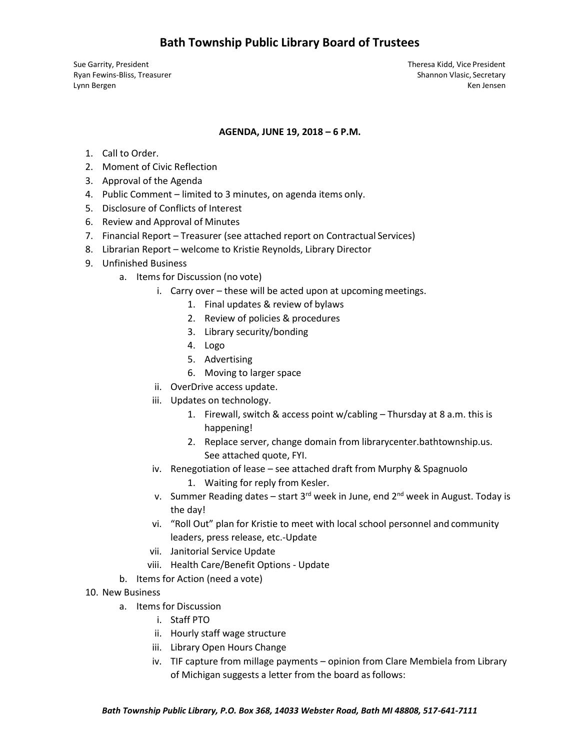## **Bath Township Public Library Board of Trustees**

Sue Garrity, President Theresa Kidd, Vice President Ryan Fewins-Bliss, Treasurer Shannon Vlasic, Secretary Shannon Vlasic, Secretary Lynn Bergen Ken Jensen Ken Jensen Ken Jensen Ken Jensen Ken Jensen Ken Jensen Ken Jensen Ken Jensen Ken Jensen

### **AGENDA, JUNE 19, 2018 – 6 P.M.**

- 1. Call to Order.
- 2. Moment of Civic Reflection
- 3. Approval of the Agenda
- 4. Public Comment limited to 3 minutes, on agenda items only.
- 5. Disclosure of Conflicts of Interest
- 6. Review and Approval of Minutes
- 7. Financial Report Treasurer (see attached report on Contractual Services)
- 8. Librarian Report welcome to Kristie Reynolds, Library Director
- 9. Unfinished Business
	- a. Items for Discussion (no vote)
		- i. Carry over these will be acted upon at upcoming meetings.
			- 1. Final updates & review of bylaws
			- 2. Review of policies & procedures
			- 3. Library security/bonding
			- 4. Logo
			- 5. Advertising
			- 6. Moving to larger space
		- ii. OverDrive access update.
		- iii. Updates on technology.
			- 1. Firewall, switch & access point w/cabling Thursday at 8 a.m. this is happening!
			- 2. Replace server, change domain from librarycenter.bathtownship.us. See attached quote, FYI.
		- iv. Renegotiation of lease see attached draft from Murphy & Spagnuolo
			- 1. Waiting for reply from Kesler.
		- v. Summer Reading dates start  $3<sup>rd</sup>$  week in June, end  $2<sup>nd</sup>$  week in August. Today is the day!
		- vi. "Roll Out" plan for Kristie to meet with local school personnel and community leaders, press release, etc.-Update
		- vii. Janitorial Service Update
		- viii. Health Care/Benefit Options Update
	- b. Items for Action (need a vote)
- 10. New Business
	- a. Items for Discussion
		- i. Staff PTO
		- ii. Hourly staff wage structure
		- iii. Library Open Hours Change
		- iv. TIF capture from millage payments opinion from Clare Membiela from Library of Michigan suggests a letter from the board as follows: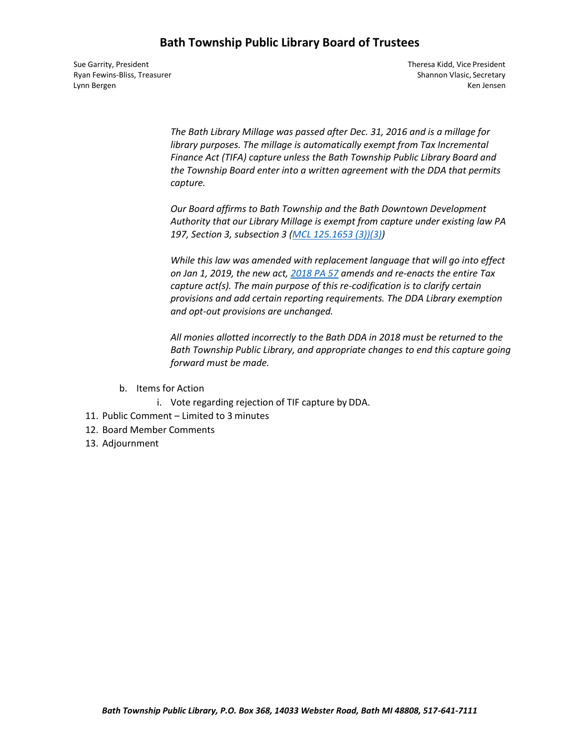## **Bath Township Public Library Board of Trustees**

Sue Garrity, President Theresa Kidd, Vice President Lynn Bergen Ken Jensen Ken Jensen Ken Jensen Ken Jensen Ken Jensen Ken Jensen Ken Jensen Ken Jensen Ken Jensen

Ryan Fewins-Bliss, Treasurer Shannon Vlasic, Secretary Shannon Vlasic, Secretary

*The Bath Library Millage was passed after Dec. 31, 2016 and is a millage for library purposes. The millage is automatically exempt from Tax Incremental Finance Act (TIFA) capture unless the Bath Township Public Library Board and the Township Board enter into a written agreement with the DDA that permits capture.*

*Our Board affirms to Bath Township and the Bath Downtown Development Authority that our Library Millage is exempt from capture under existing law PA 197, Section 3, subsection 3 [\(MCL 125.1653 \(3\)\)\(3\)\)](http://legislature.mi.gov/doc.aspx?mcl-125-1653)*

*While this law was amended with replacement language that will go into effect on Jan 1, 2019, the new act, [2018 PA 57](http://legislature.mi.gov/doc.aspx?2017-SB-0393) amends and re-enacts the entire Tax capture act(s). The main purpose of this re-codification is to clarify certain provisions and add certain reporting requirements. The DDA Library exemption and opt-out provisions are unchanged.*

*All monies allotted incorrectly to the Bath DDA in 2018 must be returned to the Bath Township Public Library, and appropriate changes to end this capture going forward must be made.*

- b. Items for Action
	- i. Vote regarding rejection of TIF capture by DDA.
- 11. Public Comment Limited to 3 minutes
- 12. Board Member Comments
- 13. Adjournment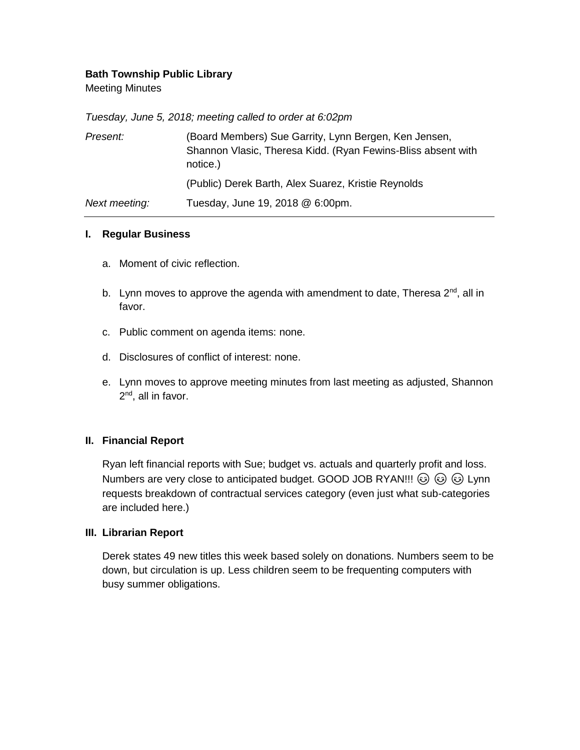## **Bath Township Public Library**

Meeting Minutes

*Tuesday, June 5, 2018; meeting called to order at 6:02pm*

| Present:      | (Board Members) Sue Garrity, Lynn Bergen, Ken Jensen,<br>Shannon Vlasic, Theresa Kidd. (Ryan Fewins-Bliss absent with<br>notice.) |
|---------------|-----------------------------------------------------------------------------------------------------------------------------------|
|               | (Public) Derek Barth, Alex Suarez, Kristie Reynolds                                                                               |
| Next meeting: | Tuesday, June 19, 2018 @ 6:00pm.                                                                                                  |

## **I. Regular Business**

- a. Moment of civic reflection.
- b. Lynn moves to approve the agenda with amendment to date, Theresa  $2^{nd}$ , all in favor.
- c. Public comment on agenda items: none.
- d. Disclosures of conflict of interest: none.
- e. Lynn moves to approve meeting minutes from last meeting as adjusted, Shannon 2<sup>nd</sup>, all in favor.

## **II. Financial Report**

Ryan left financial reports with Sue; budget vs. actuals and quarterly profit and loss. Numbers are very close to anticipated budget. GOOD JOB RYAN!!!  $\circledS \circledS$  Lynn requests breakdown of contractual services category (even just what sub-categories are included here.)

### **III. Librarian Report**

Derek states 49 new titles this week based solely on donations. Numbers seem to be down, but circulation is up. Less children seem to be frequenting computers with busy summer obligations.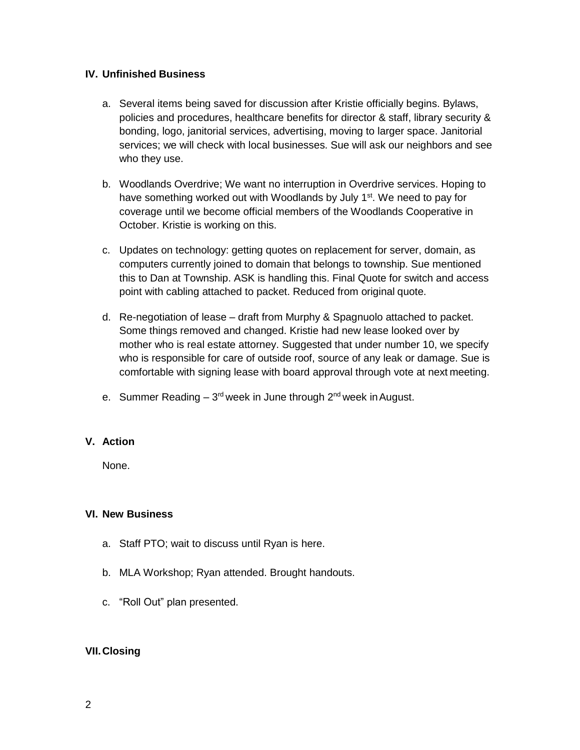## **IV. Unfinished Business**

- a. Several items being saved for discussion after Kristie officially begins. Bylaws, policies and procedures, healthcare benefits for director & staff, library security & bonding, logo, janitorial services, advertising, moving to larger space. Janitorial services; we will check with local businesses. Sue will ask our neighbors and see who they use.
- b. Woodlands Overdrive; We want no interruption in Overdrive services. Hoping to have something worked out with Woodlands by July 1<sup>st</sup>. We need to pay for coverage until we become official members of the Woodlands Cooperative in October. Kristie is working on this.
- c. Updates on technology: getting quotes on replacement for server, domain, as computers currently joined to domain that belongs to township. Sue mentioned this to Dan at Township. ASK is handling this. Final Quote for switch and access point with cabling attached to packet. Reduced from original quote.
- d. Re-negotiation of lease draft from Murphy & Spagnuolo attached to packet. Some things removed and changed. Kristie had new lease looked over by mother who is real estate attorney. Suggested that under number 10, we specify who is responsible for care of outside roof, source of any leak or damage. Sue is comfortable with signing lease with board approval through vote at next meeting.
- e. Summer Reading 3<sup>rd</sup> week in June through 2<sup>nd</sup> week in August.

## **V. Action**

None.

## **VI. New Business**

- a. Staff PTO; wait to discuss until Ryan is here.
- b. MLA Workshop; Ryan attended. Brought handouts.
- c. "Roll Out" plan presented.

## **VII.Closing**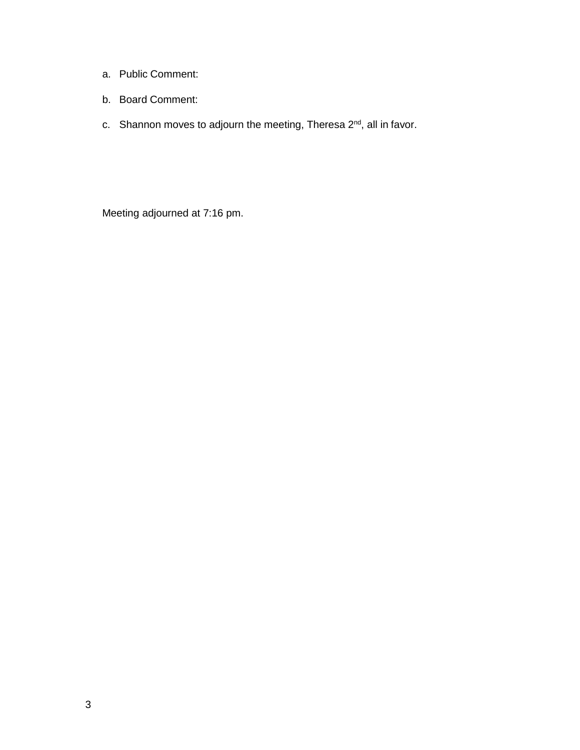- a. Public Comment:
- b. Board Comment:
- c. Shannon moves to adjourn the meeting, Theresa  $2^{nd}$ , all in favor.

Meeting adjourned at 7:16 pm.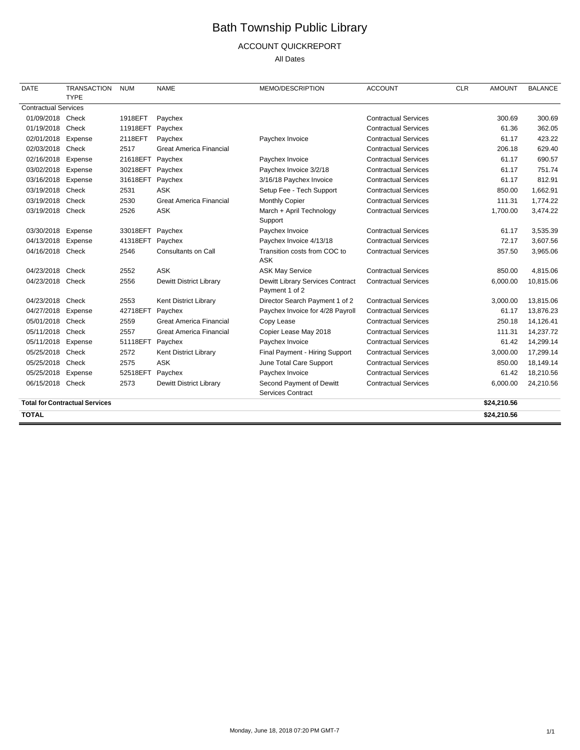# Bath Township Public Library

## ACCOUNT QUICKREPORT

All Dates

| <b>DATE</b>                 | <b>TRANSACTION</b><br><b>TYPE</b>     | <b>NUM</b> | <b>NAME</b>                    | MEMO/DESCRIPTION                                   | <b>ACCOUNT</b>              | <b>CLR</b> | <b>AMOUNT</b> | <b>BALANCE</b> |
|-----------------------------|---------------------------------------|------------|--------------------------------|----------------------------------------------------|-----------------------------|------------|---------------|----------------|
| <b>Contractual Services</b> |                                       |            |                                |                                                    |                             |            |               |                |
| 01/09/2018 Check            |                                       | 1918EFT    | Paychex                        |                                                    | <b>Contractual Services</b> |            | 300.69        | 300.69         |
| 01/19/2018 Check            |                                       | 11918EFT   | Paychex                        |                                                    | <b>Contractual Services</b> |            | 61.36         | 362.05         |
| 02/01/2018                  | Expense                               | 2118EFT    | Paychex                        | Paychex Invoice                                    | <b>Contractual Services</b> |            | 61.17         | 423.22         |
| 02/03/2018 Check            |                                       | 2517       | <b>Great America Financial</b> |                                                    | <b>Contractual Services</b> |            | 206.18        | 629.40         |
| 02/16/2018 Expense          |                                       | 21618EFT   | Paychex                        | Paychex Invoice                                    | <b>Contractual Services</b> |            | 61.17         | 690.57         |
| 03/02/2018 Expense          |                                       | 30218EFT   | Paychex                        | Paychex Invoice 3/2/18                             | <b>Contractual Services</b> |            | 61.17         | 751.74         |
| 03/16/2018                  | Expense                               | 31618EFT   | Paychex                        | 3/16/18 Paychex Invoice                            | <b>Contractual Services</b> |            | 61.17         | 812.91         |
| 03/19/2018                  | Check                                 | 2531       | <b>ASK</b>                     | Setup Fee - Tech Support                           | <b>Contractual Services</b> |            | 850.00        | 1,662.91       |
| 03/19/2018                  | Check                                 | 2530       | <b>Great America Financial</b> | Monthly Copier                                     | <b>Contractual Services</b> |            | 111.31        | 1,774.22       |
| 03/19/2018 Check            |                                       | 2526       | <b>ASK</b>                     | March + April Technology<br>Support                | <b>Contractual Services</b> |            | 1,700.00      | 3,474.22       |
| 03/30/2018                  | Expense                               | 33018EFT   | Paychex                        | Paychex Invoice                                    | <b>Contractual Services</b> |            | 61.17         | 3,535.39       |
| 04/13/2018 Expense          |                                       | 41318EFT   | Paychex                        | Paychex Invoice 4/13/18                            | <b>Contractual Services</b> |            | 72.17         | 3,607.56       |
| 04/16/2018 Check            |                                       | 2546       | Consultants on Call            | Transition costs from COC to<br><b>ASK</b>         | <b>Contractual Services</b> |            | 357.50        | 3,965.06       |
| 04/23/2018                  | Check                                 | 2552       | <b>ASK</b>                     | <b>ASK May Service</b>                             | <b>Contractual Services</b> |            | 850.00        | 4,815.06       |
| 04/23/2018 Check            |                                       | 2556       | Dewitt District Library        | Dewitt Library Services Contract<br>Payment 1 of 2 | <b>Contractual Services</b> |            | 6,000.00      | 10,815.06      |
| 04/23/2018 Check            |                                       | 2553       | Kent District Library          | Director Search Payment 1 of 2                     | <b>Contractual Services</b> |            | 3,000.00      | 13,815.06      |
| 04/27/2018 Expense          |                                       | 42718EFT   | Paychex                        | Paychex Invoice for 4/28 Payroll                   | <b>Contractual Services</b> |            | 61.17         | 13,876.23      |
| 05/01/2018                  | Check                                 | 2559       | <b>Great America Financial</b> | Copy Lease                                         | <b>Contractual Services</b> |            | 250.18        | 14,126.41      |
| 05/11/2018 Check            |                                       | 2557       | <b>Great America Financial</b> | Copier Lease May 2018                              | <b>Contractual Services</b> |            | 111.31        | 14,237.72      |
| 05/11/2018                  | Expense                               | 51118EFT   | Paychex                        | Paychex Invoice                                    | <b>Contractual Services</b> |            | 61.42         | 14,299.14      |
| 05/25/2018                  | Check                                 | 2572       | Kent District Library          | Final Payment - Hiring Support                     | <b>Contractual Services</b> |            | 3,000.00      | 17,299.14      |
| 05/25/2018 Check            |                                       | 2575       | <b>ASK</b>                     | June Total Care Support                            | <b>Contractual Services</b> |            | 850.00        | 18,149.14      |
| 05/25/2018 Expense          |                                       | 52518EFT   | Paychex                        | Paychex Invoice                                    | <b>Contractual Services</b> |            | 61.42         | 18,210.56      |
| 06/15/2018 Check            |                                       | 2573       | Dewitt District Library        | Second Payment of Dewitt<br>Services Contract      | <b>Contractual Services</b> |            | 6,000.00      | 24,210.56      |
|                             | <b>Total for Contractual Services</b> |            |                                |                                                    |                             |            | \$24,210.56   |                |
| <b>TOTAL</b>                |                                       |            |                                |                                                    |                             |            | \$24,210.56   |                |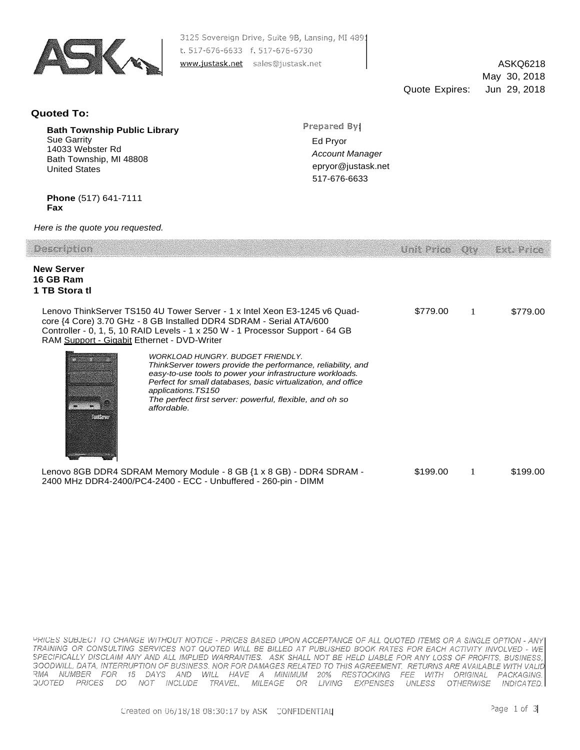

3125 Sovereign Drive, Suite 9B, Lansing, MI 4891 t. 517-676-6633 f. 517-676-6730 www.justask.net sales@justask.net

ASKQ6218 May 30, 2018 Quote Expires: Jun 29, 2018

#### **Quoted To:**

**Bath Township Public Library** Sue Garrity 14033 Webster Rd Bath Township, MI 48808 United States

Prepared By

Ed Pryor *Account Manager*  [epryor@justask.net](mailto:epryor@justask.net) 517-676-6633

**Phone** (517) 641-7111 **Fax**

*Here is the quote you requested.*

| Description                                                                                                                                                                                                                                                                                                                               | Unit Price. |   | <i>Ext. Prine</i> |
|-------------------------------------------------------------------------------------------------------------------------------------------------------------------------------------------------------------------------------------------------------------------------------------------------------------------------------------------|-------------|---|-------------------|
| <b>New Server</b><br>16 GB Ram<br>1 TB Stora tl                                                                                                                                                                                                                                                                                           |             |   |                   |
| Lenovo ThinkServer TS150 4U Tower Server - 1 x Intel Xeon E3-1245 v6 Quad-<br>core {4 Core} 3.70 GHz - 8 GB Installed DDR4 SDRAM - Serial ATA/600<br>Controller - 0, 1, 5, 10 RAID Levels - 1 x 250 W - 1 Processor Support - 64 GB<br>RAM Support - Gigabit Ethernet - DVD-Writer                                                        | \$779.00    |   | \$779.00          |
| WORKLOAD HUNGRY, BUDGET FRIENDLY.<br>ThinkServer towers provide the performance, reliability, and<br>easy-to-use tools to power your infrastructure workloads.<br>Perfect for small databases, basic virtualization, and office<br>applications.TS150<br>The perfect first server: powerful, flexible, and oh so<br>affordable.<br>14.000 |             |   |                   |
| Lenovo 8GB DDR4 SDRAM Memory Module - 8 GB {1 x 8 GB} - DDR4 SDRAM -<br>2400 MHz DDR4-2400/PC4-2400 - ECC - Unbuffered - 260-pin - DIMM                                                                                                                                                                                                   | \$199.00    | 1 | \$199.00          |

PRICES SUBJECT TO CHANGE WITHOUT NOTICE - PRICES BASED UPON ACCEPTANCE OF ALL QUOTED ITEMS OR A SINGLE OPTION - ANY TRAINING OR CONSULTING SERVICES NOT QUOTED WILL BE BILLED AT PUBLISHED BOOK RATES FOR EACH ACTIVITY INVOLVED - WE SPECIFICALLY DISCLAIM ANY AND ALL IMPLIED WARRANTIES. ASK SHALL NOT BE HELD LIABLE FOR ANY LOSS OF PROFITS, BUSINESS, GOODWILL, DATA, INTERRUPTION OF BUSINESS. NOR FOR DAMAGES RELATED TO THIS AGREEMENT. RETURNS ARE AVAILABLE WITH VALID RMA NUMBER FOR 15 DAYS AND WILL HAVE A MINIMUM 20% RESTOCKING FEE WITH ORIGINAL PACKAGING.<br>QUOTED PRICES DO NOT INCLUDE TRAVEL, MILEAGE OR LIVING EXPENSES UNLESS OTHERWISE INDICATED.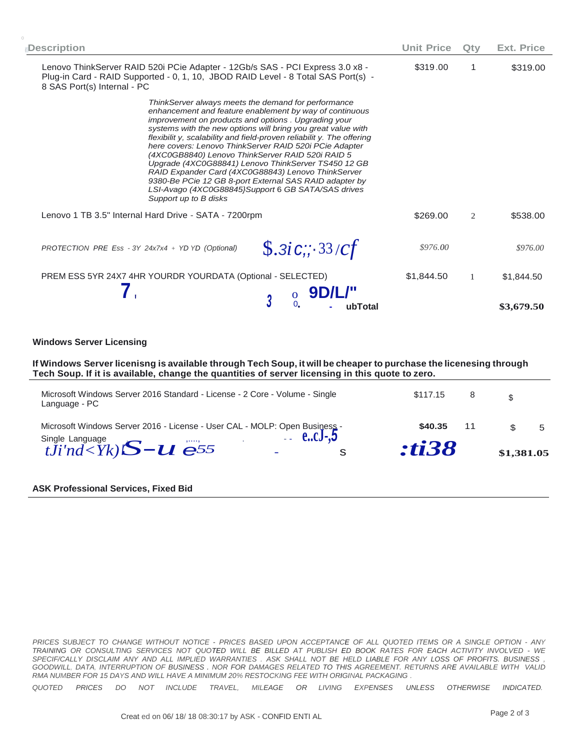| <b>Description</b>                                                                                                                                                                                                                                                                                                                                                                                                                                                                                                                                                                                                                                                                 | <b>Unit Price</b> | Qty          | Ext. Price |
|------------------------------------------------------------------------------------------------------------------------------------------------------------------------------------------------------------------------------------------------------------------------------------------------------------------------------------------------------------------------------------------------------------------------------------------------------------------------------------------------------------------------------------------------------------------------------------------------------------------------------------------------------------------------------------|-------------------|--------------|------------|
| Lenovo ThinkServer RAID 520i PCie Adapter - 12Gb/s SAS - PCI Express 3.0 x8 -<br>Plug-in Card - RAID Supported - 0, 1, 10, JBOD RAID Level - 8 Total SAS Port(s) -<br>8 SAS Port(s) Internal - PC                                                                                                                                                                                                                                                                                                                                                                                                                                                                                  | \$319.00          | 1            | \$319.00   |
| ThinkServer always meets the demand for performance<br>enhancement and feature enablement by way of continuous<br>improvement on products and options. Upgrading your<br>systems with the new options will bring you great value with<br>flexibilit y, scalability and field-proven reliabilit y. The offering<br>here covers: Lenovo ThinkServer RAID 520i PCie Adapter<br>(4XC0GB8840) Lenovo ThinkServer RAID 520i RAID 5<br>Upgrade (4XC0G88841) Lenovo ThinkServer TS450 12 GB<br>RAID Expander Card (4XC0G88843) Lenovo ThinkServer<br>9380-Be PCie 12 GB 8-port External SAS RAID adapter by<br>LSI-Avago (4XC0G88845}Support 6 GB SATA/SAS drives<br>Support up to B disks |                   |              |            |
| Lenovo 1 TB 3.5" Internal Hard Drive - SATA - 7200rpm                                                                                                                                                                                                                                                                                                                                                                                                                                                                                                                                                                                                                              | \$269.00          | 2            | \$538.00   |
| $\$.3iC$ ;; 33/cf<br>PROTECTION PRE Ess - 3Y 24x7x4 + YD YD (Optional)                                                                                                                                                                                                                                                                                                                                                                                                                                                                                                                                                                                                             | \$976.00          |              | \$976.00   |
| PREM ESS 5YR 24X7 4HR YOURDR YOURDATA (Optional - SELECTED)                                                                                                                                                                                                                                                                                                                                                                                                                                                                                                                                                                                                                        | \$1,844.50        | $\mathbf{1}$ | \$1,844.50 |
| ubTotal                                                                                                                                                                                                                                                                                                                                                                                                                                                                                                                                                                                                                                                                            |                   |              | \$3,679.50 |

#### **Windows Server Licensing**

If Windows Server licenisng is available through Tech Soup, it will be cheaper to purchase the licenesing through **Tech Soup. If it is available, change the quantities of server licensing in this quote to zero.**

| Single Language<br>$tJi'nd) S-u \mathfrak{S}^5$                                              | <i><b>:ti38</b></i>        | \$1,381.05 |
|----------------------------------------------------------------------------------------------|----------------------------|------------|
|                                                                                              | \$40.35                    | -5         |
| Microsoft Windows Server 2016 Standard - License - 2 Core - Volume - Single<br>Language - PC | \$117.15<br>8 <sup>8</sup> |            |

#### **ASK Professional Services, Fixed Bid**

*PRICES SUBJECT TO CHANGE WITHOUT NOTICE* - *PRICES BASED UPON ACCEPTANCE OF ALL QUOTED ITEMS OR A SINGLE OPTION* - *ANY TRAINING OR CONSULTING SERVICES NOT QUOTED WILL BE BILLED AT PUBLISH ED BOOK RATES FOR EACH ACTIVITY INVOLVED* - *WE*  SPECIF/CALLY DISCLAIM ANY AND ALL IMPLIED WARRANTIES . ASK SHALL NOT BE HELD LIABLE FOR ANY LOSS OF PROFITS. BUSINESS, *GOODWILL, DATA, INTERRUPTION OF BUSINESS . NOR FOR DAMAGES RELATED TO THIS AGREEMENT. RETURNS ARE AVAILABLE WITH VALID RMA NUMBER FOR 15 DAYS AND WILL HAVE A MINIMUM 20% RESTOCKING FEE WITH ORIGINAL PACKAGING .*

*QUOTED PRICES DO NOT INCLUDE TRAVEL, MILEAGE OR LIVING EXPENSES UNLESS OTHERWISE INDICATED.*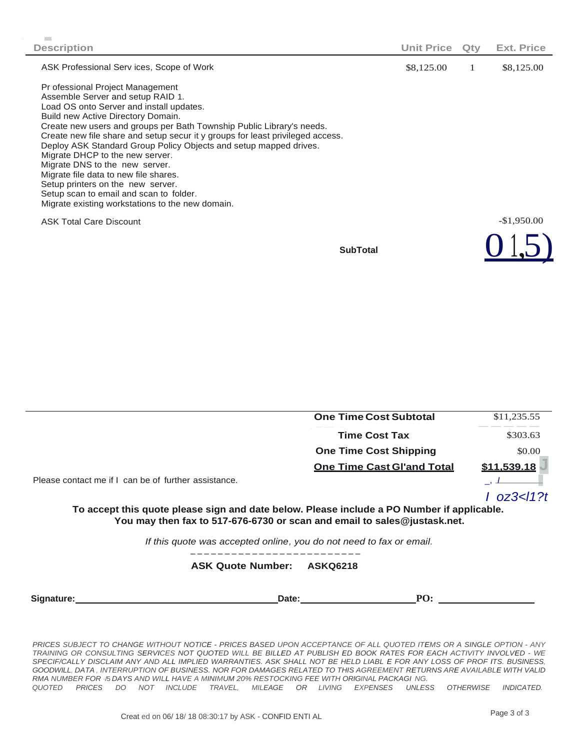| <b>Description</b>                                                                                                                                                                                                                                                                                                                                                                                                                                                                                                                                                                                                                        | <b>Unit Price</b> | Qtv | Ext. Price   |
|-------------------------------------------------------------------------------------------------------------------------------------------------------------------------------------------------------------------------------------------------------------------------------------------------------------------------------------------------------------------------------------------------------------------------------------------------------------------------------------------------------------------------------------------------------------------------------------------------------------------------------------------|-------------------|-----|--------------|
| ASK Professional Serv ices, Scope of Work                                                                                                                                                                                                                                                                                                                                                                                                                                                                                                                                                                                                 | \$8,125.00        | 1   | \$8,125.00   |
| Pr ofessional Project Management<br>Assemble Server and setup RAID 1.<br>Load OS onto Server and install updates.<br>Build new Active Directory Domain.<br>Create new users and groups per Bath Township Public Library's needs.<br>Create new file share and setup secur it y groups for least privileged access.<br>Deploy ASK Standard Group Policy Objects and setup mapped drives.<br>Migrate DHCP to the new server.<br>Migrate DNS to the new server.<br>Migrate file data to new file shares.<br>Setup printers on the new server.<br>Setup scan to email and scan to folder.<br>Migrate existing workstations to the new domain. |                   |     |              |
| <b>ASK Total Care Discount</b>                                                                                                                                                                                                                                                                                                                                                                                                                                                                                                                                                                                                            |                   |     | $-$1,950.00$ |
| <b>SubTotal</b>                                                                                                                                                                                                                                                                                                                                                                                                                                                                                                                                                                                                                           |                   |     |              |

|                                                      | <b>One Time Cost Subtotal</b>                                                                                                                                          | \$11,235.55 |
|------------------------------------------------------|------------------------------------------------------------------------------------------------------------------------------------------------------------------------|-------------|
|                                                      | <b>Time Cost Tax</b>                                                                                                                                                   | \$303.63    |
|                                                      | <b>One Time Cost Shipping</b>                                                                                                                                          | \$0.00      |
|                                                      | <b>One Time Cast Gl'and Total</b>                                                                                                                                      | \$11.539.18 |
| Please contact me if I can be of further assistance. |                                                                                                                                                                        |             |
|                                                      | To accept this quote please sign and date below. Please include a PO Number if applicable.<br>You may then fax to 517-676-6730 or scan and email to sales@justask.net. |             |
|                                                      | If this quote was accepted online, you do not need to fax or email.                                                                                                    |             |
|                                                      | <b>ASK Quote Number:</b><br><b>ASKQ6218</b>                                                                                                                            |             |
| Signature:                                           | PO:<br>Date:                                                                                                                                                           |             |

*PRICES SUBJECT TO CHANGE WITHOUT NOTICE* - *PRICES BASED UPON ACCEPTANCE OF ALL QUOTED ITEMS OR A SINGLE OPTION* - *ANY TRAINING OR CONSULTING SERVICES NOT QUOTED WILL BE BILLED AT PUBLISH ED BOOK RATES FOR EACH ACTIVITY INVOLVED* - *WE SPECIF/CALLY DISCLAIM ANY AND ALL IMPLIED WARRANTIES. ASK SHALL NOT BE HELD LIABL E FOR ANY LOSS OF PROF ITS. BUSINESS,*  GOODWILL, DATA, INTERRUPTION OF BUSINESS. NOR FOR DAMAGES RELATED TO THIS AGREEMENT RETURNS ARE AVAILABLE WITH VALID *RMA NUMBER FOR* ·/5 *DAYS AND WILL HAVE A MINIMUM 20% RESTOCKING FEE WITH ORIGINAL PACKAGI NG.*

*QUOTED PRICES DO NOT INCLUDE TRAVEL, MILEAGE OR LIVING EXPENSES UNLESS OTHERWISE INDICATED.*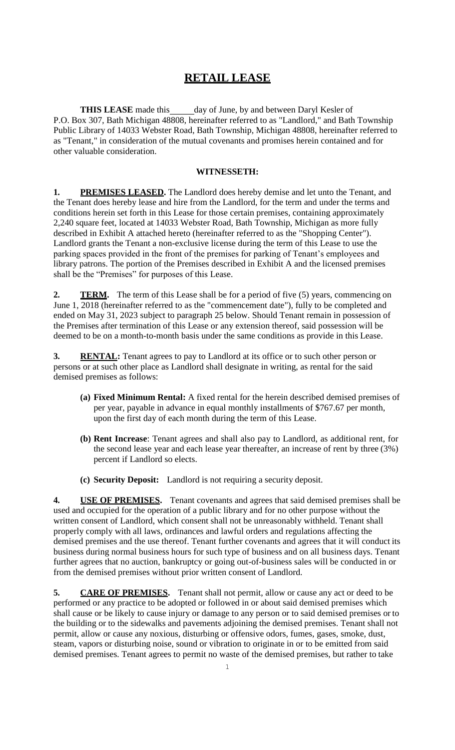## **RETAIL LEASE**

**THIS LEASE** made this day of June, by and between Daryl Kesler of P.O. Box 307, Bath Michigan 48808, hereinafter referred to as "Landlord," and Bath Township Public Library of 14033 Webster Road, Bath Township, Michigan 48808, hereinafter referred to as "Tenant," in consideration of the mutual covenants and promises herein contained and for other valuable consideration.

### **WITNESSETH:**

**1. PREMISES LEASED.** The Landlord does hereby demise and let unto the Tenant, and the Tenant does hereby lease and hire from the Landlord, for the term and under the terms and conditions herein set forth in this Lease for those certain premises, containing approximately 2,240 square feet, located at 14033 Webster Road, Bath Township, Michigan as more fully described in Exhibit A attached hereto (hereinafter referred to as the "Shopping Center"). Landlord grants the Tenant a non-exclusive license during the term of this Lease to use the parking spaces provided in the front of the premises for parking of Tenant's employees and library patrons. The portion of the Premises described in Exhibit A and the licensed premises shall be the "Premises" for purposes of this Lease.

**2. TERM.** The term of this Lease shall be for a period of five (5) years, commencing on June 1, 2018 (hereinafter referred to as the "commencement date"), fully to be completed and ended on May 31, 2023 subject to paragraph 25 below. Should Tenant remain in possession of the Premises after termination of this Lease or any extension thereof, said possession will be deemed to be on a month-to-month basis under the same conditions as provide in this Lease.

**3. RENTAL:** Tenant agrees to pay to Landlord at its office or to such other person or persons or at such other place as Landlord shall designate in writing, as rental for the said demised premises as follows:

- **(a) Fixed Minimum Rental:** A fixed rental for the herein described demised premises of per year, payable in advance in equal monthly installments of \$767.67 per month, upon the first day of each month during the term of this Lease.
- **(b) Rent Increase**: Tenant agrees and shall also pay to Landlord, as additional rent, for the second lease year and each lease year thereafter, an increase of rent by three (3%) percent if Landlord so elects.
- **(c) Security Deposit:** Landlord is not requiring a security deposit.

**4. USE OF PREMISES.** Tenant covenants and agrees that said demised premises shall be used and occupied for the operation of a public library and for no other purpose without the written consent of Landlord, which consent shall not be unreasonably withheld. Tenant shall properly comply with all laws, ordinances and lawful orders and regulations affecting the demised premises and the use thereof. Tenant further covenants and agrees that it will conduct its business during normal business hours for such type of business and on all business days. Tenant further agrees that no auction, bankruptcy or going out-of-business sales will be conducted in or from the demised premises without prior written consent of Landlord.

**5. CARE OF PREMISES.** Tenant shall not permit, allow or cause any act or deed to be performed or any practice to be adopted or followed in or about said demised premises which shall cause or be likely to cause injury or damage to any person or to said demised premises or to the building or to the sidewalks and pavements adjoining the demised premises. Tenant shall not permit, allow or cause any noxious, disturbing or offensive odors, fumes, gases, smoke, dust, steam, vapors or disturbing noise, sound or vibration to originate in or to be emitted from said demised premises. Tenant agrees to permit no waste of the demised premises, but rather to take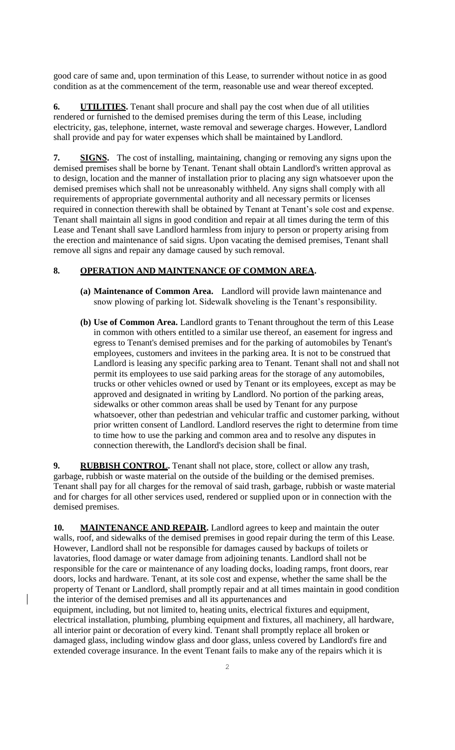good care of same and, upon termination of this Lease, to surrender without notice in as good condition as at the commencement of the term, reasonable use and wear thereof excepted.

**6. UTILITIES.** Tenant shall procure and shall pay the cost when due of all utilities rendered or furnished to the demised premises during the term of this Lease, including electricity, gas, telephone, internet, waste removal and sewerage charges. However, Landlord shall provide and pay for water expenses which shall be maintained by Landlord.

**7. SIGNS.** The cost of installing, maintaining, changing or removing any signs upon the demised premises shall be borne by Tenant. Tenant shall obtain Landlord's written approval as to design, location and the manner of installation prior to placing any sign whatsoever upon the demised premises which shall not be unreasonably withheld. Any signs shall comply with all requirements of appropriate governmental authority and all necessary permits or licenses required in connection therewith shall be obtained by Tenant at Tenant's sole cost and expense. Tenant shall maintain all signs in good condition and repair at all times during the term of this Lease and Tenant shall save Landlord harmless from injury to person or property arising from the erection and maintenance of said signs. Upon vacating the demised premises, Tenant shall remove all signs and repair any damage caused by such removal.

## **8. OPERATION AND MAINTENANCE OF COMMON AREA.**

- **(a) Maintenance of Common Area.** Landlord will provide lawn maintenance and snow plowing of parking lot. Sidewalk shoveling is the Tenant's responsibility.
- **(b) Use of Common Area.** Landlord grants to Tenant throughout the term of this Lease in common with others entitled to a similar use thereof, an easement for ingress and egress to Tenant's demised premises and for the parking of automobiles by Tenant's employees, customers and invitees in the parking area. It is not to be construed that Landlord is leasing any specific parking area to Tenant. Tenant shall not and shall not permit its employees to use said parking areas for the storage of any automobiles, trucks or other vehicles owned or used by Tenant or its employees, except as may be approved and designated in writing by Landlord. No portion of the parking areas, sidewalks or other common areas shall be used by Tenant for any purpose whatsoever, other than pedestrian and vehicular traffic and customer parking, without prior written consent of Landlord. Landlord reserves the right to determine from time to time how to use the parking and common area and to resolve any disputes in connection therewith, the Landlord's decision shall be final.

**9. RUBBISH CONTROL.** Tenant shall not place, store, collect or allow any trash, garbage, rubbish or waste material on the outside of the building or the demised premises. Tenant shall pay for all charges for the removal of said trash, garbage, rubbish or waste material and for charges for all other services used, rendered or supplied upon or in connection with the demised premises.

**10. MAINTENANCE AND REPAIR.** Landlord agrees to keep and maintain the outer walls, roof, and sidewalks of the demised premises in good repair during the term of this Lease. However, Landlord shall not be responsible for damages caused by backups of toilets or lavatories, flood damage or water damage from adjoining tenants. Landlord shall not be responsible for the care or maintenance of any loading docks, loading ramps, front doors, rear doors, locks and hardware. Tenant, at its sole cost and expense, whether the same shall be the property of Tenant or Landlord, shall promptly repair and at all times maintain in good condition the interior of the demised premises and all its appurtenances and

equipment, including, but not limited to, heating units, electrical fixtures and equipment, electrical installation, plumbing, plumbing equipment and fixtures, all machinery, all hardware, all interior paint or decoration of every kind. Tenant shall promptly replace all broken or damaged glass, including window glass and door glass, unless covered by Landlord's fire and extended coverage insurance. In the event Tenant fails to make any of the repairs which it is

 $\mathbf{I}$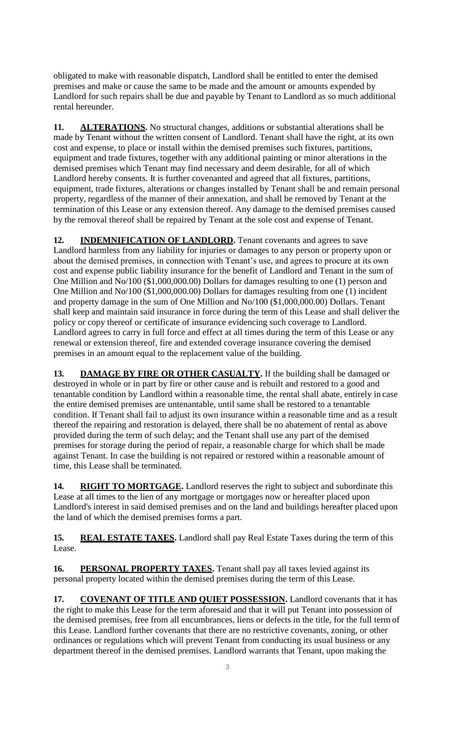obligated to make with reasonable dispatch, Landlord shall be entitled to enter the demised premises and make or cause the same to be made and the amount or amounts expended by Landlord for such repairs shall be due and payable by Tenant to Landlord as so much additional rental hereunder.

**11. ALTERATIONS.** No structural changes, additions or substantial alterations shall be made by Tenant without the written consent of Landlord. Tenant shall have the right, at its own cost and expense, to place or install within the demised premises such fixtures, partitions, equipment and trade fixtures, together with any additional painting or minor alterations in the demised premises which Tenant may find necessary and deem desirable, for all of which Landlord hereby consents. It is further covenanted and agreed that all fixtures, partitions, equipment, trade fixtures, alterations or changes installed by Tenant shall be and remain personal property, regardless of the manner of their annexation, and shall be removed by Tenant at the termination of this Lease or any extension thereof. Any damage to the demised premises caused by the removal thereof shall be repaired by Tenant at the sole cost and expense of Tenant.

12. **INDEMNIFICATION OF LANDLORD.** Tenant covenants and agrees to save Landlord harmless from any liability for injuries or damages to any person or property upon or about the demised premises, in connection with Tenant's use, and agrees to procure at its own cost and expense public liability insurance for the benefit of Landlord and Tenant in the sum of One Million and No/100 (\$1,000,000.00) Dollars for damages resulting to one (1) person and One Million and No/100 (\$1,000,000.00) Dollars for damages resulting from one (1) incident and property damage in the sum of One Million and No/100 (\$1,000,000.00) Dollars. Tenant shall keep and maintain said insurance in force during the term of this Lease and shall deliver the policy or copy thereof or certificate of insurance evidencing such coverage to Landlord. Landlord agrees to carry in full force and effect at all times during the term of this Lease or any renewal or extension thereof, fire and extended coverage insurance covering the demised premises in an amount equal to the replacement value of the building.

**13. DAMAGE BY FIRE OR OTHER CASUALTY.** If the building shall be damaged or destroyed in whole or in part by fire or other cause and is rebuilt and restored to a good and tenantable condition by Landlord within a reasonable time, the rental shall abate, entirely in case the entire demised premises are untenantable, until same shall be restored to a tenantable condition. If Tenant shall fail to adjust its own insurance within a reasonable time and as a result thereof the repairing and restoration is delayed, there shall be no abatement of rental as above provided during the term of such delay; and the Tenant shall use any part of the demised premises for storage during the period of repair, a reasonable charge for which shall be made against Tenant. In case the building is not repaired or restored within a reasonable amount of time, this Lease shall be terminated.

14. **RIGHT TO MORTGAGE.** Landlord reserves the right to subject and subordinate this Lease at all times to the lien of any mortgage or mortgages now or hereafter placed upon Landlord's interest in said demised premises and on the land and buildings hereafter placed upon the land of which the demised premises forms a part.

**15. REAL ESTATE TAXES.** Landlord shall pay Real Estate Taxes during the term of this Lease.

16. **PERSONAL PROPERTY TAXES**. Tenant shall pay all taxes levied against its personal property located within the demised premises during the term of this Lease.

17. **COVENANT OF TITLE AND QUIET POSSESSION.** Landlord covenants that it has the right to make this Lease for the term aforesaid and that it will put Tenant into possession of the demised premises, free from all encumbrances, liens or defects in the title, for the full term of this Lease. Landlord further covenants that there are no restrictive covenants, zoning, or other ordinances or regulations which will prevent Tenant from conducting its usual business or any department thereof in the demised premises. Landlord warrants that Tenant, upon making the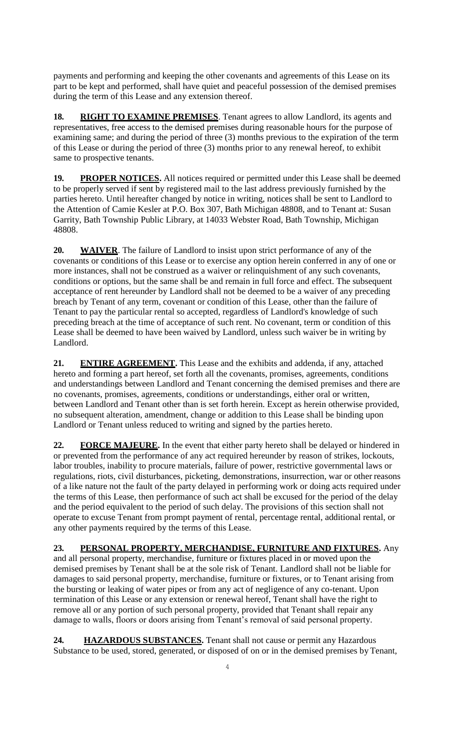payments and performing and keeping the other covenants and agreements of this Lease on its part to be kept and performed, shall have quiet and peaceful possession of the demised premises during the term of this Lease and any extension thereof.

**18. RIGHT TO EXAMINE PREMISES**. Tenant agrees to allow Landlord, its agents and representatives, free access to the demised premises during reasonable hours for the purpose of examining same; and during the period of three (3) months previous to the expiration of the term of this Lease or during the period of three (3) months prior to any renewal hereof, to exhibit same to prospective tenants.

19. **PROPER NOTICES.** All notices required or permitted under this Lease shall be deemed to be properly served if sent by registered mail to the last address previously furnished by the parties hereto. Until hereafter changed by notice in writing, notices shall be sent to Landlord to the Attention of Camie Kesler at P.O. Box 307, Bath Michigan 48808, and to Tenant at: Susan Garrity, Bath Township Public Library, at 14033 Webster Road, Bath Township, Michigan 48808.

**20. WAIVER**. The failure of Landlord to insist upon strict performance of any of the covenants or conditions of this Lease or to exercise any option herein conferred in any of one or more instances, shall not be construed as a waiver or relinquishment of any such covenants, conditions or options, but the same shall be and remain in full force and effect. The subsequent acceptance of rent hereunder by Landlord shall not be deemed to be a waiver of any preceding breach by Tenant of any term, covenant or condition of this Lease, other than the failure of Tenant to pay the particular rental so accepted, regardless of Landlord's knowledge of such preceding breach at the time of acceptance of such rent. No covenant, term or condition of this Lease shall be deemed to have been waived by Landlord, unless such waiver be in writing by Landlord.

**21. ENTIRE AGREEMENT.** This Lease and the exhibits and addenda, if any, attached hereto and forming a part hereof, set forth all the covenants, promises, agreements, conditions and understandings between Landlord and Tenant concerning the demised premises and there are no covenants, promises, agreements, conditions or understandings, either oral or written, between Landlord and Tenant other than is set forth herein. Except as herein otherwise provided, no subsequent alteration, amendment, change or addition to this Lease shall be binding upon Landlord or Tenant unless reduced to writing and signed by the parties hereto.

**22. FORCE MAJEURE.** In the event that either party hereto shall be delayed or hindered in or prevented from the performance of any act required hereunder by reason of strikes, lockouts, labor troubles, inability to procure materials, failure of power, restrictive governmental laws or regulations, riots, civil disturbances, picketing, demonstrations, insurrection, war or other reasons of a like nature not the fault of the party delayed in performing work or doing acts required under the terms of this Lease, then performance of such act shall be excused for the period of the delay and the period equivalent to the period of such delay. The provisions of this section shall not operate to excuse Tenant from prompt payment of rental, percentage rental, additional rental, or any other payments required by the terms of this Lease.

**23. PERSONAL PROPERTY, MERCHANDISE, FURNITURE AND FIXTURES.** Any and all personal property, merchandise, furniture or fixtures placed in or moved upon the demised premises by Tenant shall be at the sole risk of Tenant. Landlord shall not be liable for damages to said personal property, merchandise, furniture or fixtures, or to Tenant arising from the bursting or leaking of water pipes or from any act of negligence of any co-tenant. Upon termination of this Lease or any extension or renewal hereof, Tenant shall have the right to remove all or any portion of such personal property, provided that Tenant shall repair any damage to walls, floors or doors arising from Tenant's removal of said personal property.

**24. HAZARDOUS SUBSTANCES.** Tenant shall not cause or permit any Hazardous Substance to be used, stored, generated, or disposed of on or in the demised premises by Tenant,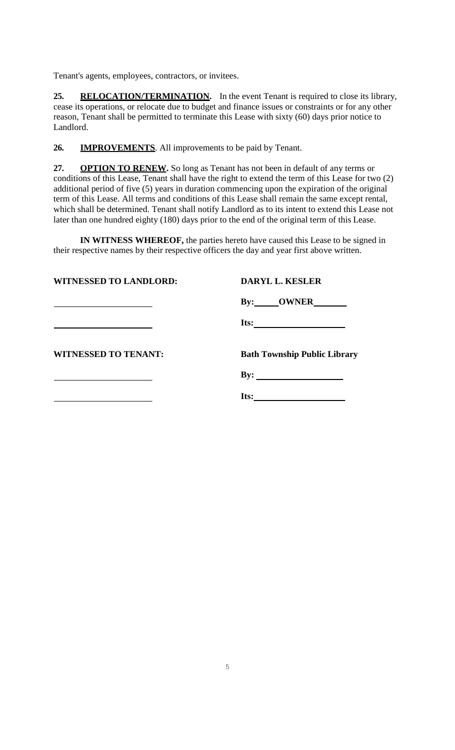Tenant's agents, employees, contractors, or invitees.

25. **RELOCATION/TERMINATION.** In the event Tenant is required to close its library, cease its operations, or relocate due to budget and finance issues or constraints or for any other reason, Tenant shall be permitted to terminate this Lease with sixty (60) days prior notice to Landlord.

**26. IMPROVEMENTS**. All improvements to be paid by Tenant.

**27. OPTION TO RENEW.** So long as Tenant has not been in default of any terms or conditions of this Lease, Tenant shall have the right to extend the term of this Lease for two (2) additional period of five (5) years in duration commencing upon the expiration of the original term of this Lease. All terms and conditions of this Lease shall remain the same except rental, which shall be determined. Tenant shall notify Landlord as to its intent to extend this Lease not later than one hundred eighty (180) days prior to the end of the original term of this Lease.

**IN WITNESS WHEREOF,** the parties hereto have caused this Lease to be signed in their respective names by their respective officers the day and year first above written.

**WITNESSED TO LANDLORD: DARYL L. KESLER**

**By: OWNER**

**Its:**

**WITNESSED TO TENANT: Bath Township Public Library**

**By:** 

**Its:**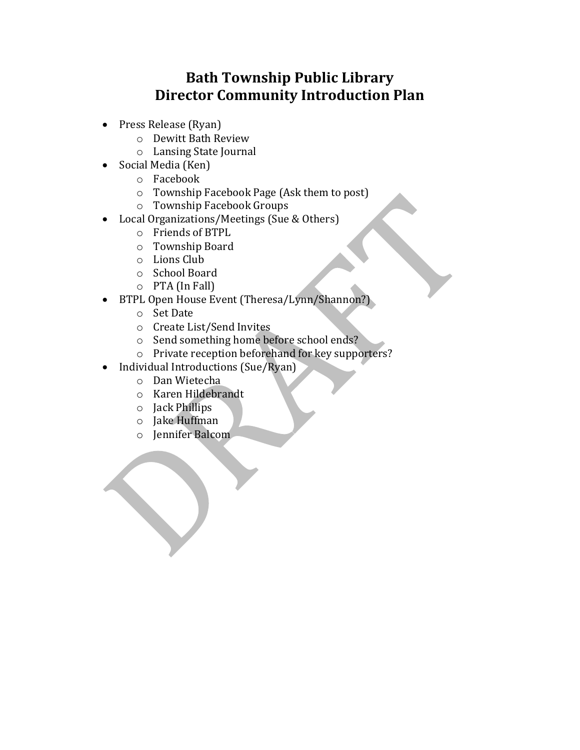## **Bath Township Public Library Director Community Introduction Plan**

- Press Release (Ryan)
	- o Dewitt Bath Review
	- o Lansing State Journal
- Social Media (Ken)
	- o Facebook
	- o Township Facebook Page (Ask them to post)
	- o Township Facebook Groups
- Local Organizations/Meetings (Sue & Others)
	- o Friends of BTPL
	- o Township Board
	- o Lions Club
	- o School Board
	- o PTA (In Fall)
- BTPL Open House Event (Theresa/Lynn/Shannon?)
	- o Set Date
	- o Create List/Send Invites
	- o Send something home before school ends?
	- o Private reception beforehand for key supporters?
- Individual Introductions (Sue/Ryan)
	- o Dan Wietecha
	- o Karen Hildebrandt
	- o Jack Phillips
	- o Jake Huffman
	- o Jennifer Balcom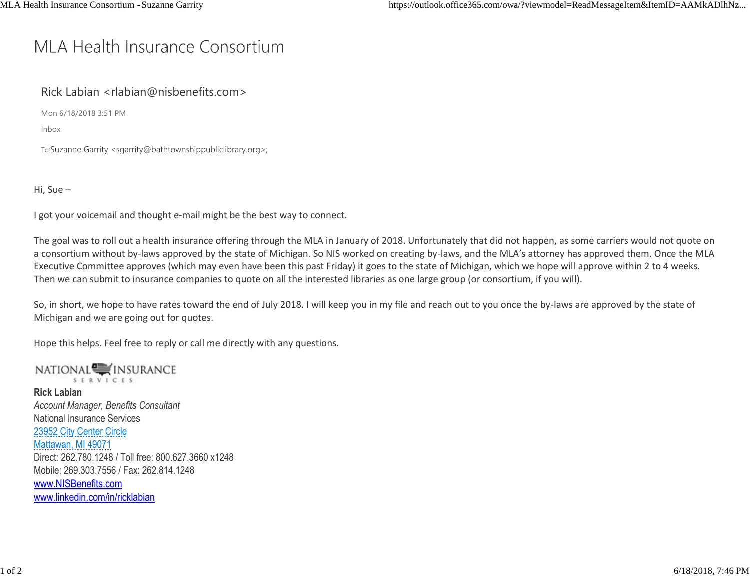# MLA Health Insurance Consortium

## Rick Labian [<rlabian@nisbenefits.com>](mailto:rlabian@nisbenefits.com)

Mon 6/18/2018 3:51 PM

Inbox

To:Suzanne Gar[rity <sgarrity@bathtownshippubliclibrary.org>;](mailto:sgarrity@bathtownshippubliclibrary.org)

Hi, Sue –

I got your voicemail and thought e-mail might be the best way to connect.

The goal was to roll out a health insurance offering through the MLA in January of 2018. Unfortunately that did not happen, as some carriers would not quote on a consortium without by-laws approved by the state of Michigan. So NIS worked on creating by-laws, and the MLA's attorney has approved them. Once the MLA Executive Committee approves (which may even have been this past Friday) it goes to the state of Michigan, which we hope will approve within 2 to 4 weeks. Then we can submit to insurance companies to quote on all the interested libraries as one large group (or consortium, if you will).

So, in short, we hope to have rates toward the end of July 2018. I will keep you in my file and reach out to you once the by-laws are approved by the state of Michigan and we are going out for quotes.

Hope this helps. Feel free to reply or call me directly with any questions.

NATIONAL<sup>W</sup>INSURANCE SERVICES **Rick Labian** *Account Manager, Benefits Consultant* National Insurance Services 23952 City Center Circle Mattawan, MI 49071 Direct: 262.780.1248 / Toll free: 800.627.3660 x1248 Mobile: 269.303.7556 / Fax: 262.814.1248 [www.NISBenefits.com](http://www.nisbenefits.com/) [www.linkedin.com/in/ricklabian](http://www.linkedin.com/in/ricklabian)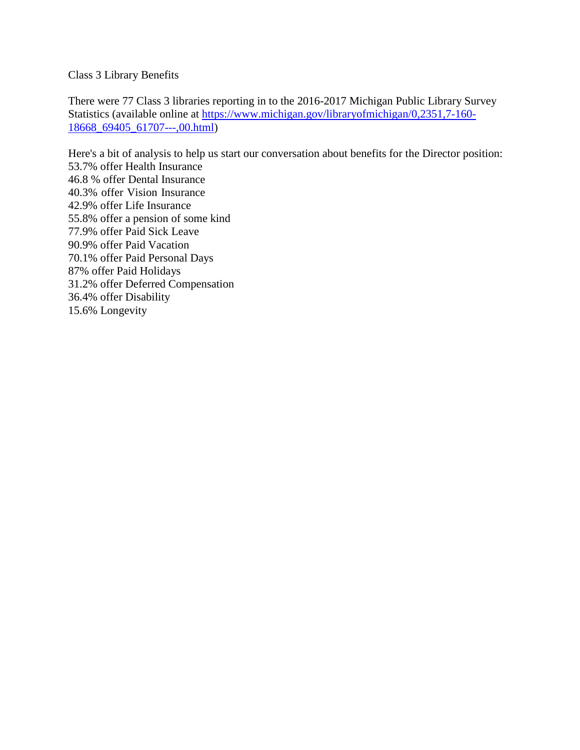Class 3 Library Benefits

There were 77 Class 3 libraries reporting in to the 2016-2017 Michigan Public Library Survey Statistics (available online at [https://www.michigan.gov/libraryofmichigan/0,2351,7-160-](https://www.michigan.gov/libraryofmichigan/0%2C2351%2C7-160-18668_69405_61707---%2C00.html) [18668\\_69405\\_61707---,00.html\)](https://www.michigan.gov/libraryofmichigan/0%2C2351%2C7-160-18668_69405_61707---%2C00.html)

Here's a bit of analysis to help us start our conversation about benefits for the Director position: 53.7% offer Health Insurance 46.8 % offer Dental Insurance 40.3% offer Vision Insurance 42.9% offer Life Insurance 55.8% offer a pension of some kind 77.9% offer Paid Sick Leave 90.9% offer Paid Vacation 70.1% offer Paid Personal Days 87% offer Paid Holidays 31.2% offer Deferred Compensation 36.4% offer Disability 15.6% Longevity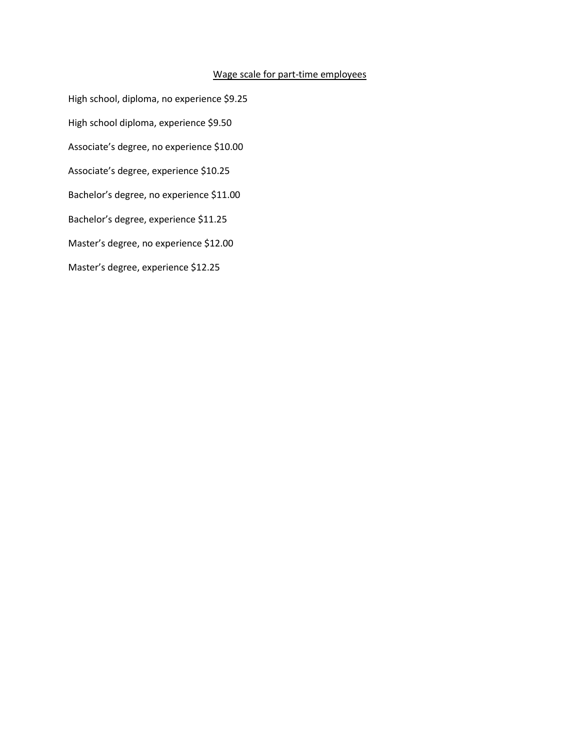#### Wage scale for part-time employees

High school, diploma, no experience \$9.25 High school diploma, experience \$9.50 Associate's degree, no experience \$10.00 Associate's degree, experience \$10.25 Bachelor's degree, no experience \$11.00 Bachelor's degree, experience \$11.25 Master's degree, no experience \$12.00 Master's degree, experience \$12.25